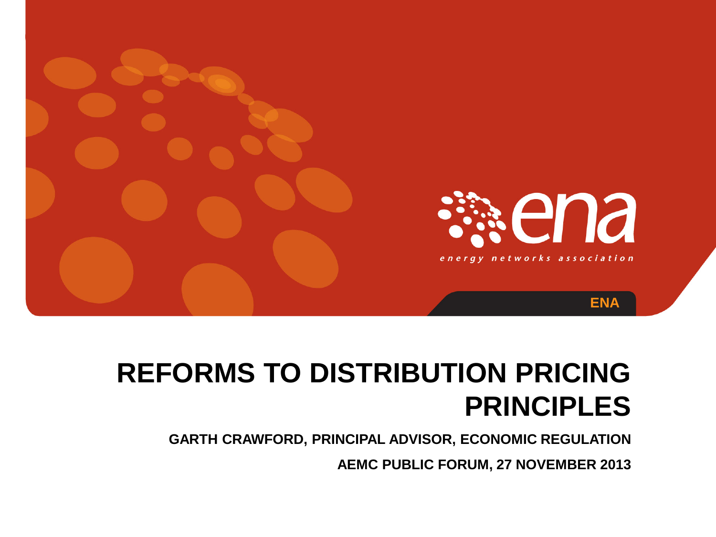

# **REFORMS TO DISTRIBUTION PRICING PRINCIPLES**

**GARTH CRAWFORD, PRINCIPAL ADVISOR, ECONOMIC REGULATION**

**AEMC PUBLIC FORUM, 27 NOVEMBER 2013**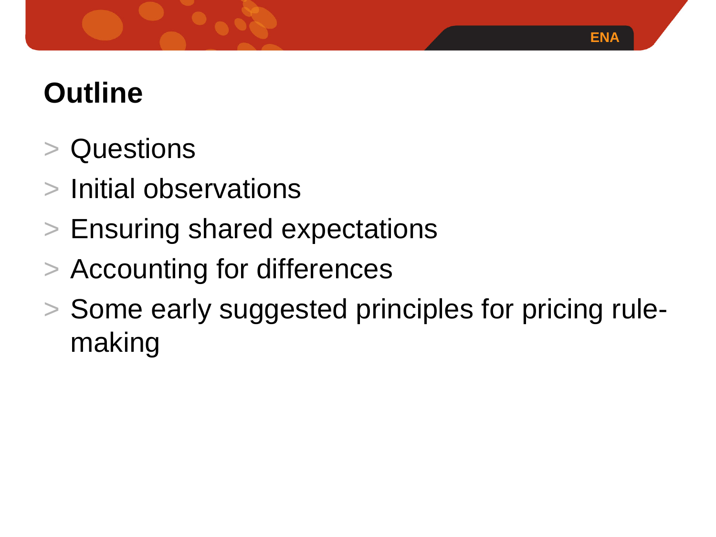# **Outline**

- **Questions**
- > Initial observations
- > Ensuring shared expectations
- > Accounting for differences
- > Some early suggested principles for pricing rulemaking

**ENA**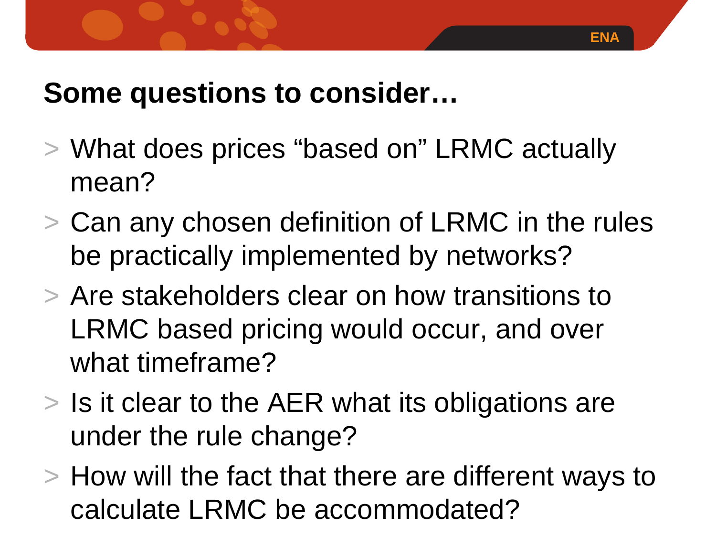### **Some questions to consider…**

- > What does prices "based on" LRMC actually mean?
- > Can any chosen definition of LRMC in the rules be practically implemented by networks?
- > Are stakeholders clear on how transitions to LRMC based pricing would occur, and over what timeframe?
- > Is it clear to the AER what its obligations are under the rule change?
- > How will the fact that there are different ways to calculate LRMC be accommodated?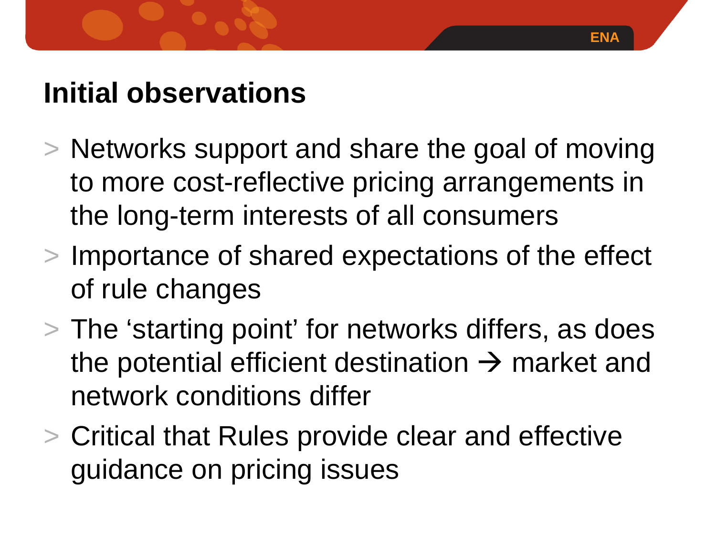### **Initial observations**

- > Networks support and share the goal of moving to more cost-reflective pricing arrangements in the long-term interests of all consumers
- > Importance of shared expectations of the effect of rule changes
- > The 'starting point' for networks differs, as does the potential efficient destination  $\rightarrow$  market and network conditions differ
- > Critical that Rules provide clear and effective guidance on pricing issues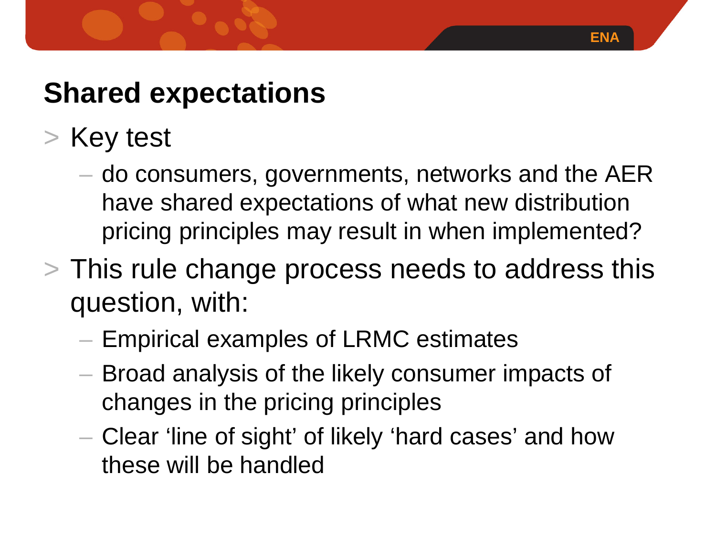## **Shared expectations**

- > Key test
	- do consumers, governments, networks and the AER have shared expectations of what new distribution pricing principles may result in when implemented?

**ENA**

- > This rule change process needs to address this question, with:
	- Empirical examples of LRMC estimates
	- Broad analysis of the likely consumer impacts of changes in the pricing principles
	- Clear 'line of sight' of likely 'hard cases' and how these will be handled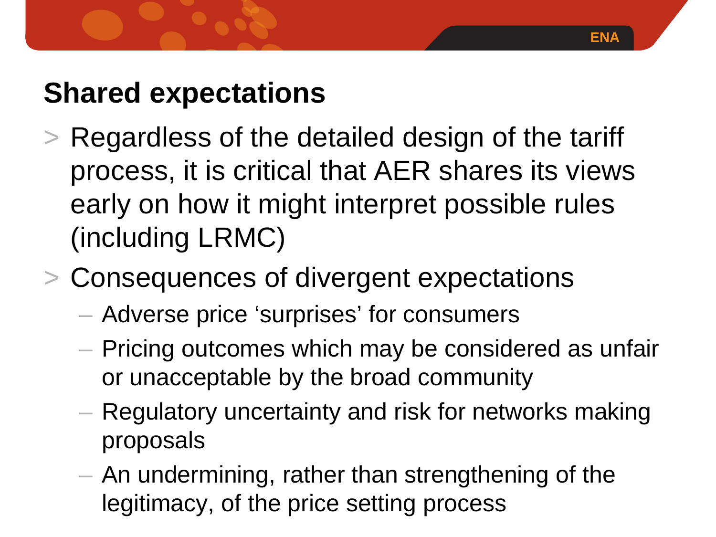### **Shared expectations**

- > Regardless of the detailed design of the tariff process, it is critical that AER shares its views early on how it might interpret possible rules (including LRMC)
- > Consequences of divergent expectations
	- Adverse price 'surprises' for consumers
	- Pricing outcomes which may be considered as unfair or unacceptable by the broad community
	- Regulatory uncertainty and risk for networks making proposals
	- An undermining, rather than strengthening of the legitimacy, of the price setting process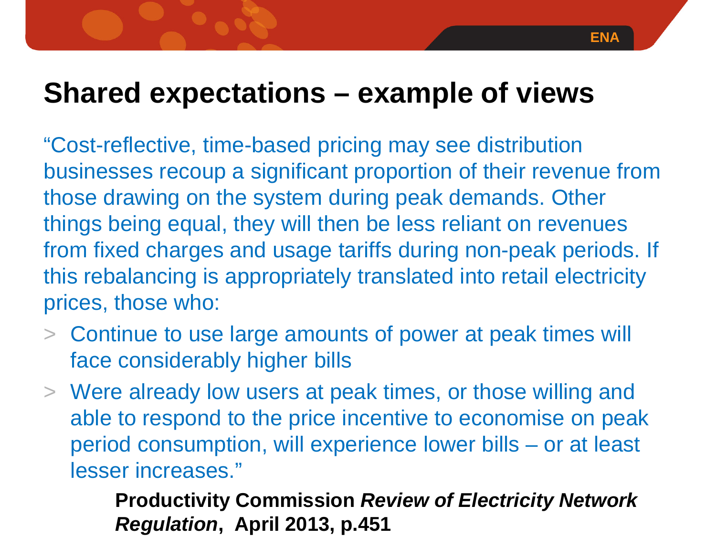### **ENA**

### **Shared expectations – example of views**

"Cost-reflective, time-based pricing may see distribution businesses recoup a significant proportion of their revenue from those drawing on the system during peak demands. Other things being equal, they will then be less reliant on revenues from fixed charges and usage tariffs during non-peak periods. If this rebalancing is appropriately translated into retail electricity prices, those who:

- > Continue to use large amounts of power at peak times will face considerably higher bills
- > Were already low users at peak times, or those willing and able to respond to the price incentive to economise on peak period consumption, will experience lower bills – or at least lesser increases."

**Productivity Commission** *Review of Electricity Network Regulation***, April 2013, p.451**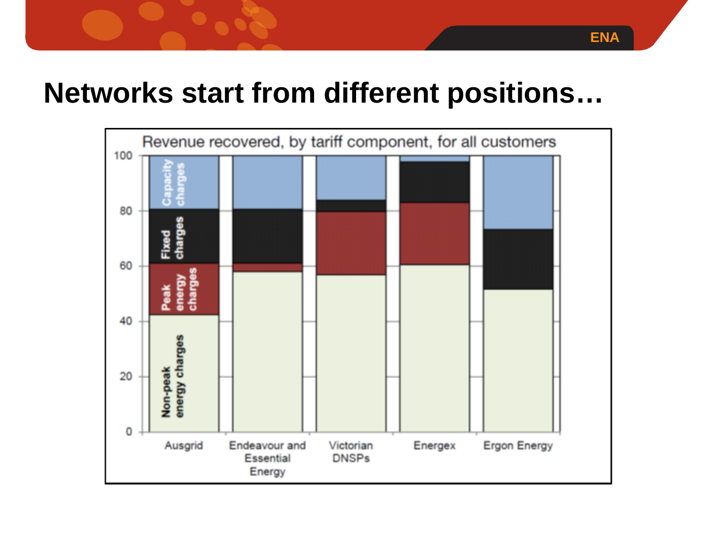### **Networks start from different positions…**

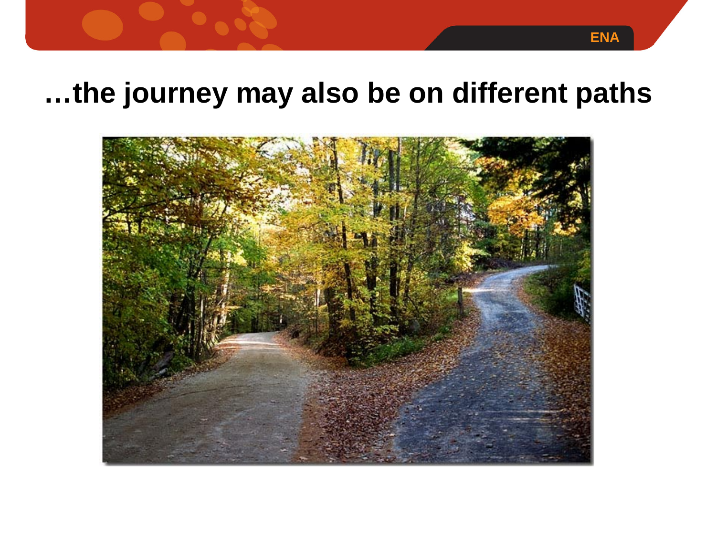### **…the journey may also be on different paths**

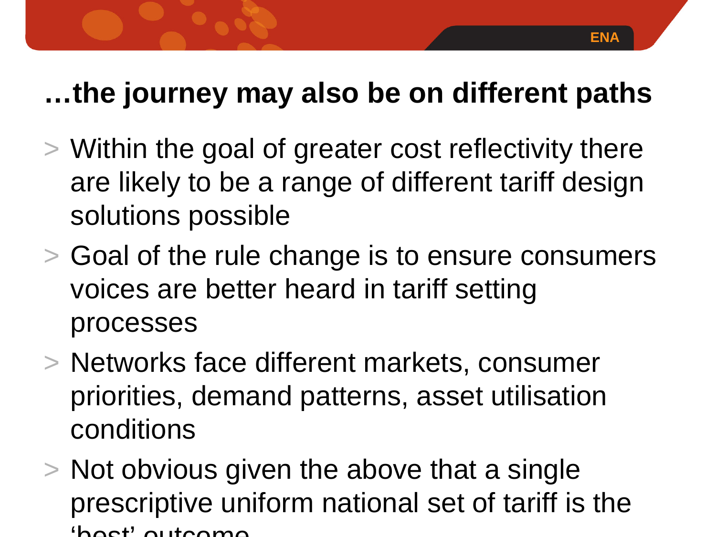### **…the journey may also be on different paths**

- > Within the goal of greater cost reflectivity there are likely to be a range of different tariff design solutions possible
- > Goal of the rule change is to ensure consumers voices are better heard in tariff setting processes
- > Networks face different markets, consumer priorities, demand patterns, asset utilisation conditions
- > Not obvious given the above that a single prescriptive uniform national set of tariff is the  $'$ boot' outcome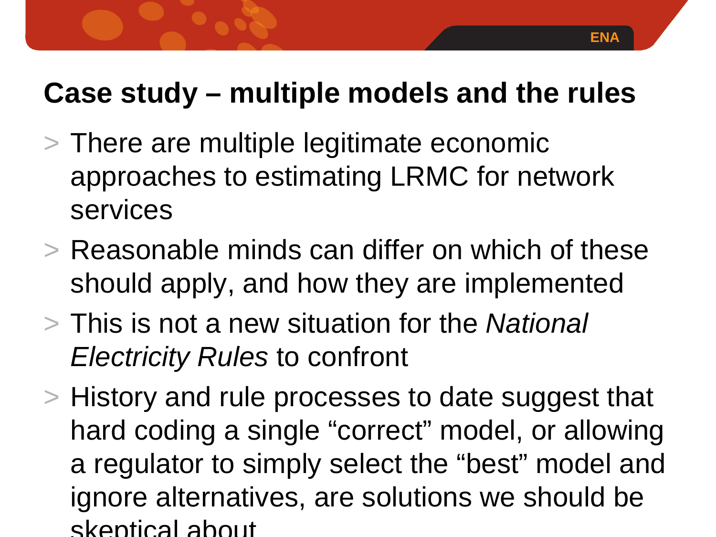### **Case study – multiple models and the rules**

- > There are multiple legitimate economic approaches to estimating LRMC for network services
- > Reasonable minds can differ on which of these should apply, and how they are implemented
- > This is not a new situation for the *National Electricity Rules* to confront
- > History and rule processes to date suggest that hard coding a single "correct" model, or allowing a regulator to simply select the "best" model and ignore alternatives, are solutions we should be skeptical about